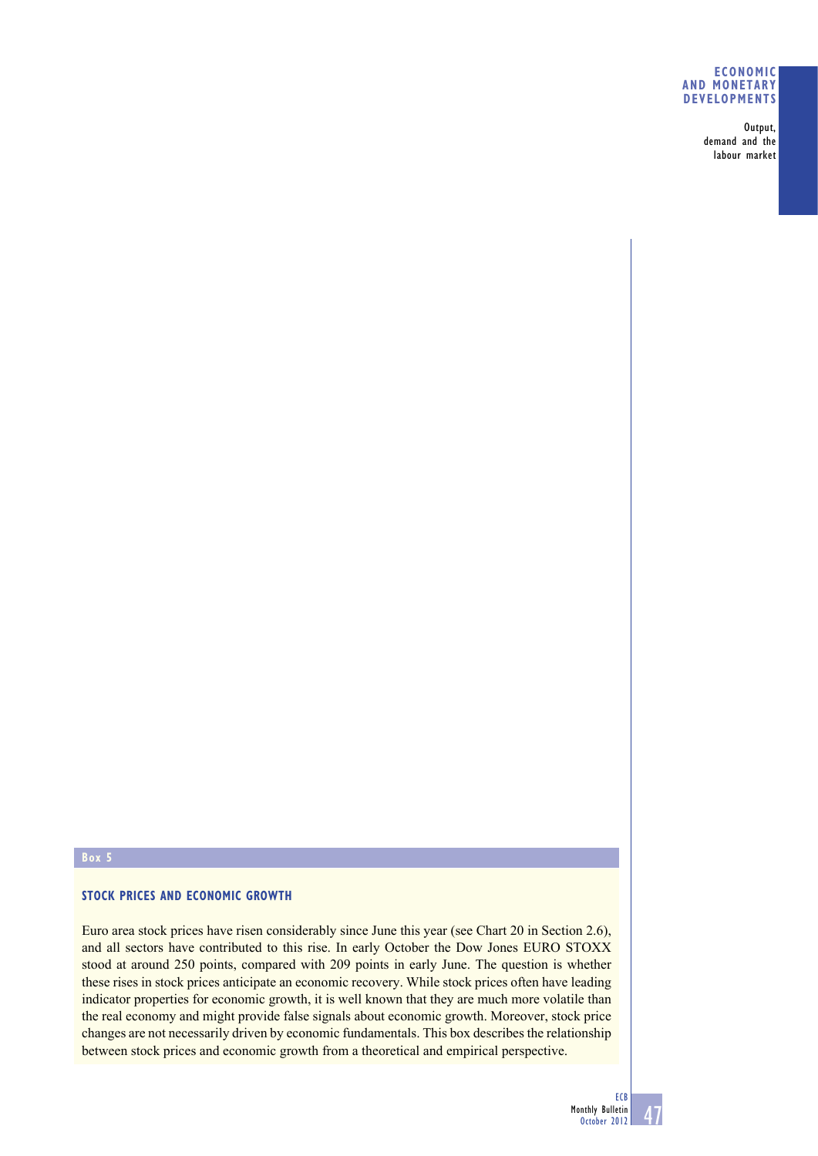#### **ECONOMIC AND MONETARY DEVELOPMENTS**

Output, demand and the labour market

## **Box 5**

# **STOCK PRICES AND ECONOMIC GROWTH**

Euro area stock prices have risen considerably since June this year (see Chart 20 in Section 2.6), and all sectors have contributed to this rise. In early October the Dow Jones EURO STOXX stood at around 250 points, compared with 209 points in early June. The question is whether these rises in stock prices anticipate an economic recovery. While stock prices often have leading indicator properties for economic growth, it is well known that they are much more volatile than the real economy and might provide false signals about economic growth. Moreover, stock price changes are not necessarily driven by economic fundamentals. This box describes the relationship between stock prices and economic growth from a theoretical and empirical perspective.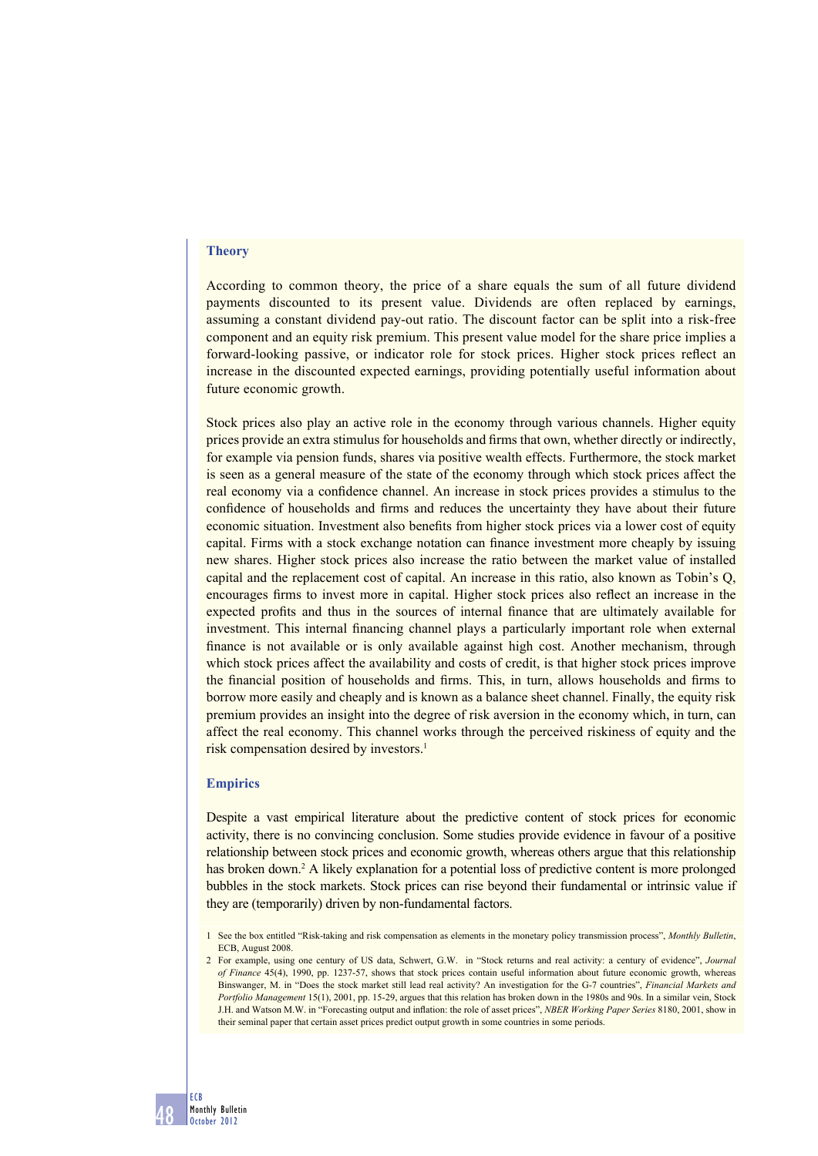### **Theory**

According to common theory, the price of a share equals the sum of all future dividend payments discounted to its present value. Dividends are often replaced by earnings, assuming a constant dividend pay-out ratio. The discount factor can be split into a risk-free component and an equity risk premium. This present value model for the share price implies a forward-looking passive, or indicator role for stock prices. Higher stock prices reflect an increase in the discounted expected earnings, providing potentially useful information about future economic growth.

Stock prices also play an active role in the economy through various channels. Higher equity prices provide an extra stimulus for households and firms that own, whether directly or indirectly, for example via pension funds, shares via positive wealth effects. Furthermore, the stock market is seen as a general measure of the state of the economy through which stock prices affect the real economy via a confidence channel. An increase in stock prices provides a stimulus to the confidence of households and firms and reduces the uncertainty they have about their future economic situation. Investment also benefits from higher stock prices via a lower cost of equity capital. Firms with a stock exchange notation can finance investment more cheaply by issuing new shares. Higher stock prices also increase the ratio between the market value of installed capital and the replacement cost of capital. An increase in this ratio, also known as Tobin's Q, encourages firms to invest more in capital. Higher stock prices also reflect an increase in the expected profits and thus in the sources of internal finance that are ultimately available for investment. This internal financing channel plays a particularly important role when external finance is not available or is only available against high cost. Another mechanism, through which stock prices affect the availability and costs of credit, is that higher stock prices improve the financial position of households and firms. This, in turn, allows households and firms to borrow more easily and cheaply and is known as a balance sheet channel. Finally, the equity risk premium provides an insight into the degree of risk aversion in the economy which, in turn, can affect the real economy. This channel works through the perceived riskiness of equity and the risk compensation desired by investors.<sup>1</sup>

#### **Empirics**

Despite a vast empirical literature about the predictive content of stock prices for economic activity, there is no convincing conclusion. Some studies provide evidence in favour of a positive relationship between stock prices and economic growth, whereas others argue that this relationship has broken down.<sup>2</sup> A likely explanation for a potential loss of predictive content is more prolonged bubbles in the stock markets. Stock prices can rise beyond their fundamental or intrinsic value if they are (temporarily) driven by non-fundamental factors.

<sup>1</sup> See the box entitled "Risk-taking and risk compensation as elements in the monetary policy transmission process", *Monthly Bulletin*, ECB<sub></sub> August 2008

<sup>2</sup> For example, using one century of US data, Schwert, G.W. in "Stock returns and real activity: a century of evidence", *Journal of Finance* 45(4), 1990, pp. 1237-57, shows that stock prices contain useful information about future economic growth, whereas Binswanger, M. in "Does the stock market still lead real activity? An investigation for the G-7 countries", *Financial Markets and Portfolio Management* 15(1), 2001, pp. 15-29, argues that this relation has broken down in the 1980s and 90s. In a similar vein, Stock J.H. and Watson M.W. in "Forecasting output and inflation: the role of asset prices", *NBER Working Paper Series* 8180, 2001, show in their seminal paper that certain asset prices predict output growth in some countries in some periods.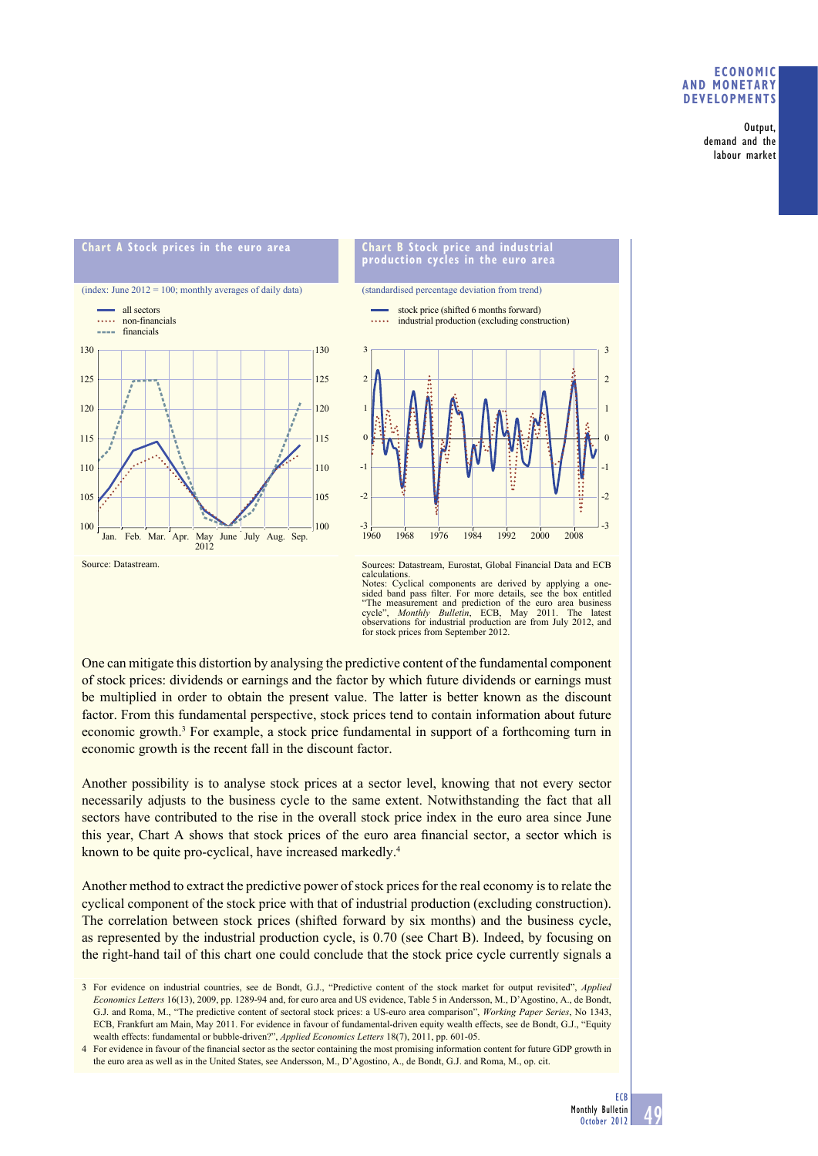#### **ECONOMIC AND MONETARY DEVELOPMENTS**

Output, demand and the labour market



One can mitigate this distortion by analysing the predictive content of the fundamental component observations for industrial production are from July 2012, and for stock prices from September 2012.

of stock prices: dividends or earnings and the factor by which future dividends or earnings must be multiplied in order to obtain the present value. The latter is better known as the discount factor. From this fundamental perspective, stock prices tend to contain information about future economic growth.<sup>3</sup> For example, a stock price fundamental in support of a forthcoming turn in economic growth is the recent fall in the discount factor.

Another possibility is to analyse stock prices at a sector level, knowing that not every sector necessarily adjusts to the business cycle to the same extent. Notwithstanding the fact that all sectors have contributed to the rise in the overall stock price index in the euro area since June this year, Chart A shows that stock prices of the euro area financial sector, a sector which is known to be quite pro-cyclical, have increased markedly.<sup>4</sup>

Another method to extract the predictive power of stock prices for the real economy is to relate the cyclical component of the stock price with that of industrial production (excluding construction). The correlation between stock prices (shifted forward by six months) and the business cycle, as represented by the industrial production cycle, is 0.70 (see Chart B). Indeed, by focusing on the right-hand tail of this chart one could conclude that the stock price cycle currently signals a

<sup>3</sup> For evidence on industrial countries, see de Bondt, G.J., "Predictive content of the stock market for output revisited", *Applied Economics Letters* 16(13), 2009, pp. 1289-94 and, for euro area and US evidence, Table 5 in Andersson, M., D'Agostino, A., de Bondt, G.J. and Roma, M., "The predictive content of sectoral stock prices: a US-euro area comparison", *Working Paper Series*, No 1343, ECB, Frankfurt am Main, May 2011. For evidence in favour of fundamental-driven equity wealth effects, see de Bondt, G.J., "Equity wealth effects: fundamental or bubble-driven?", *Applied Economics Letters* 18(7), 2011, pp. 601-05.

<sup>4</sup> For evidence in favour of the financial sector as the sector containing the most promising information content for future GDP growth in the euro area as well as in the United States, see Andersson, M., D'Agostino, A., de Bondt, G.J. and Roma, M., op. cit.